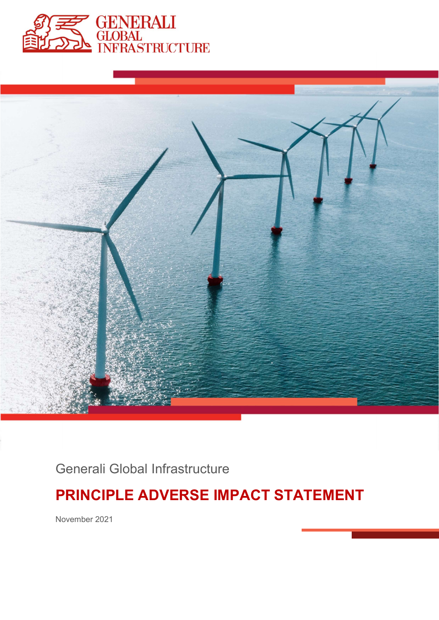



Generali Global Infrastructure

# PRINCIPLE ADVERSE IMPACT STATEMENT

November 2021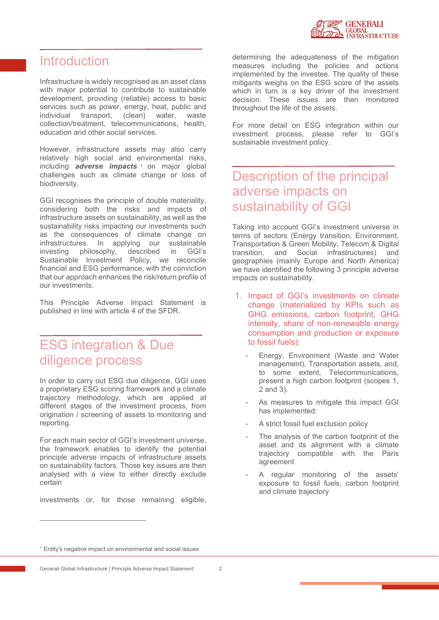

#### Introduction

Infrastructure is widely recognised as an asset class with major potential to contribute to sustainable development, providing (reliable) access to basic services such as power, energy, heat, public and individual transport, (clean) water, waste collection/treatment, telecommunications, health, education and other social services.

However, infrastructure assets may also carry relatively high social and environmental risks, including **adverse impacts**  $\frac{1}{2}$  on major global challenges such as climate change or loss of biodiversity.

GGI recognises the principle of double materiality, considering both the risks and impacts of infrastructure assets on sustainability, as well as the sustainability risks impacting our investments such as the consequences of climate change on infrastructures. In applying our sustainable investing philosophy, described in GGI's Sustainable Investment Policy, we reconcile financial and ESG performance, with the conviction that our approach enhances the risk/return profile of our investments.

This Principle Adverse Impact Statement is published in line with article 4 of the SFDR.

## ESG integration & Due diligence process

In order to carry out ESG due diligence, GGI uses a proprietary ESG scoring framework and a climate trajectory methodology, which are applied at different stages of the investment process, from origination / screening of assets to monitoring and reporting.

For each main sector of GGI's investment universe, the framework enables to identify the potential principle adverse impacts of infrastructure assets an european agreement on sustainability factors. Those key issues are then analysed with a view to either directly exclude certain

investments or, for those remaining eligible,

determining the adequateness of the mitigation measures including the policies and actions implemented by the investee. The quality of these mitigants weighs on the ESG score of the assets which in turn is a key driver of the investment decision. These issues are then monitored throughout the life of the assets.

For more detail on ESG integration within our investment process, please refer to GGI's sustainable investment policy.

#### Description of the principal adverse impacts on sustainability of GGI

Taking into account GGI's investment universe in terms of sectors (Energy transition, Environment, Transportation & Green Mobility, Telecom & Digital infrastructures) and geographies (mainly Europe and North America) we have identified the following 3 principle adverse impacts on sustainability.

- 1. Impact of GGI's investments on climate change (materialized by KPIs such as GHG emissions, carbon footprint, GHG intensity, share of non-renewable energy consumption and production or exposure
	- to fossil fuels):<br>- Energy, Environment (Waste and Water management), Transportation assets, and, to some extent, Telecommunications, present a high carbon footprint (scopes 1,
	- As measures to mitigate this impact GGI
	-
	- A strict fossil fuel exclusion policy<br>The analysis of the carbon footprint of the asset and its alignment with a climate trajectory compatible with the Paris
	- A regular monitoring of the assets' exposure to fossil fuels, carbon footprint and climate trajectory

<sup>&</sup>lt;sup>1</sup> Entity's negative impact on environmental and social issues